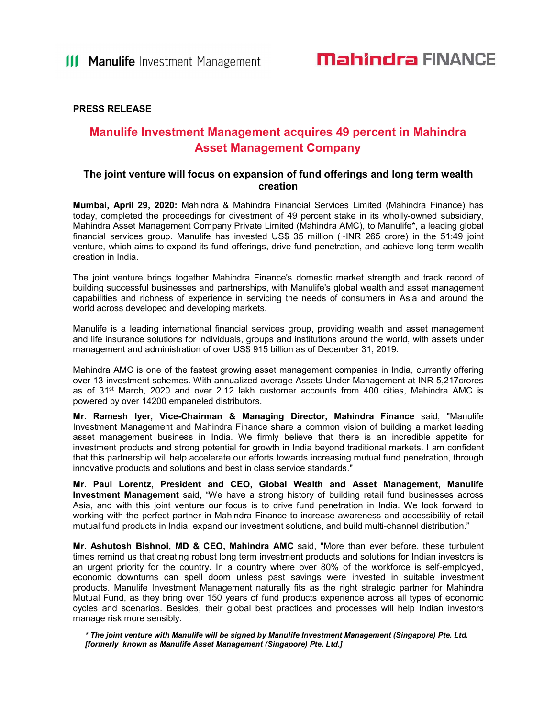#### PRESS RELEASE

### Manulife Investment Management acquires 49 percent in Mahindra Asset Management Company

#### The joint venture will focus on expansion of fund offerings and long term wealth creation

Mumbai, April 29, 2020: Mahindra & Mahindra Financial Services Limited (Mahindra Finance) has today, completed the proceedings for divestment of 49 percent stake in its wholly-owned subsidiary, Mahindra Asset Management Company Private Limited (Mahindra AMC), to Manulife\*, a leading global financial services group. Manulife has invested US\$ 35 million (~INR 265 crore) in the 51:49 joint venture, which aims to expand its fund offerings, drive fund penetration, and achieve long term wealth creation in India.

The joint venture brings together Mahindra Finance's domestic market strength and track record of building successful businesses and partnerships, with Manulife's global wealth and asset management capabilities and richness of experience in servicing the needs of consumers in Asia and around the world across developed and developing markets.

Manulife is a leading international financial services group, providing wealth and asset management and life insurance solutions for individuals, groups and institutions around the world, with assets under management and administration of over US\$ 915 billion as of December 31, 2019.

Mahindra AMC is one of the fastest growing asset management companies in India, currently offering over 13 investment schemes. With annualized average Assets Under Management at INR 5,217crores as of  $31<sup>st</sup>$  March, 2020 and over 2.12 lakh customer accounts from 400 cities, Mahindra AMC is powered by over 14200 empaneled distributors.

Mr. Ramesh Iyer, Vice-Chairman & Managing Director, Mahindra Finance said, "Manulife Investment Management and Mahindra Finance share a common vision of building a market leading asset management business in India. We firmly believe that there is an incredible appetite for investment products and strong potential for growth in India beyond traditional markets. I am confident that this partnership will help accelerate our efforts towards increasing mutual fund penetration, through innovative products and solutions and best in class service standards."

Mr. Paul Lorentz, President and CEO, Global Wealth and Asset Management, Manulife Investment Management said, "We have a strong history of building retail fund businesses across Asia, and with this joint venture our focus is to drive fund penetration in India. We look forward to working with the perfect partner in Mahindra Finance to increase awareness and accessibility of retail mutual fund products in India, expand our investment solutions, and build multi-channel distribution."

Mr. Ashutosh Bishnoi, MD & CEO, Mahindra AMC said, "More than ever before, these turbulent times remind us that creating robust long term investment products and solutions for Indian investors is an urgent priority for the country. In a country where over 80% of the workforce is self-employed, economic downturns can spell doom unless past savings were invested in suitable investment products. Manulife Investment Management naturally fits as the right strategic partner for Mahindra Mutual Fund, as they bring over 150 years of fund products experience across all types of economic cycles and scenarios. Besides, their global best practices and processes will help Indian investors manage risk more sensibly.

\* The joint venture with Manulife will be signed by Manulife Investment Management (Singapore) Pte. Ltd. [formerly known as Manulife Asset Management (Singapore) Pte. Ltd.]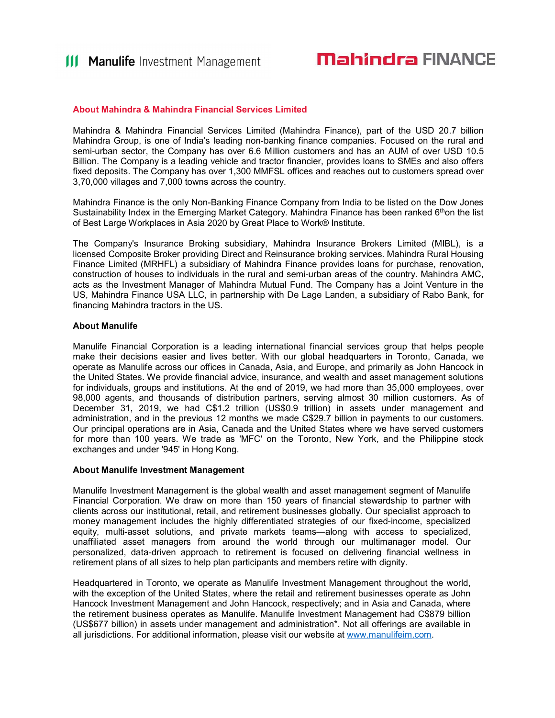#### About Mahindra & Mahindra Financial Services Limited

Mahindra & Mahindra Financial Services Limited (Mahindra Finance), part of the USD 20.7 billion Mahindra Group, is one of India's leading non-banking finance companies. Focused on the rural and semi-urban sector, the Company has over 6.6 Million customers and has an AUM of over USD 10.5 Billion. The Company is a leading vehicle and tractor financier, provides loans to SMEs and also offers fixed deposits. The Company has over 1,300 MMFSL offices and reaches out to customers spread over 3,70,000 villages and 7,000 towns across the country.

Mahindra Finance is the only Non-Banking Finance Company from India to be listed on the Dow Jones Sustainability Index in the Emerging Market Category. Mahindra Finance has been ranked  $6<sup>th</sup>$ on the list of Best Large Workplaces in Asia 2020 by Great Place to Work® Institute.

The Company's Insurance Broking subsidiary, Mahindra Insurance Brokers Limited (MIBL), is a licensed Composite Broker providing Direct and Reinsurance broking services. Mahindra Rural Housing Finance Limited (MRHFL) a subsidiary of Mahindra Finance provides loans for purchase, renovation, construction of houses to individuals in the rural and semi-urban areas of the country. Mahindra AMC, acts as the Investment Manager of Mahindra Mutual Fund. The Company has a Joint Venture in the US, Mahindra Finance USA LLC, in partnership with De Lage Landen, a subsidiary of Rabo Bank, for financing Mahindra tractors in the US.

#### About Manulife

Manulife Financial Corporation is a leading international financial services group that helps people make their decisions easier and lives better. With our global headquarters in Toronto, Canada, we operate as Manulife across our offices in Canada, Asia, and Europe, and primarily as John Hancock in the United States. We provide financial advice, insurance, and wealth and asset management solutions for individuals, groups and institutions. At the end of 2019, we had more than 35,000 employees, over 98,000 agents, and thousands of distribution partners, serving almost 30 million customers. As of December 31, 2019, we had C\$1.2 trillion (US\$0.9 trillion) in assets under management and administration, and in the previous 12 months we made C\$29.7 billion in payments to our customers. Our principal operations are in Asia, Canada and the United States where we have served customers for more than 100 years. We trade as 'MFC' on the Toronto, New York, and the Philippine stock exchanges and under '945' in Hong Kong.

#### About Manulife Investment Management

Manulife Investment Management is the global wealth and asset management segment of Manulife Financial Corporation. We draw on more than 150 years of financial stewardship to partner with clients across our institutional, retail, and retirement businesses globally. Our specialist approach to money management includes the highly differentiated strategies of our fixed-income, specialized equity, multi-asset solutions, and private markets teams—along with access to specialized, unaffiliated asset managers from around the world through our multimanager model. Our personalized, data-driven approach to retirement is focused on delivering financial wellness in retirement plans of all sizes to help plan participants and members retire with dignity.

Headquartered in Toronto, we operate as Manulife Investment Management throughout the world, with the exception of the United States, where the retail and retirement businesses operate as John Hancock Investment Management and John Hancock, respectively; and in Asia and Canada, where the retirement business operates as Manulife. Manulife Investment Management had C\$879 billion (US\$677 billion) in assets under management and administration\*. Not all offerings are available in all jurisdictions. For additional information, please visit our website at www.manulifeim.com.